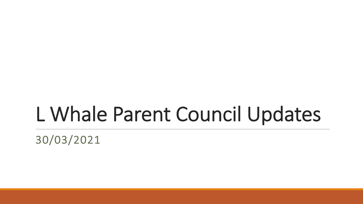#### L Whale Parent Council Updates

30/03/2021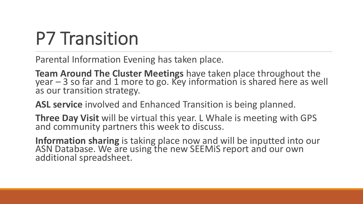#### P7 Transition

Parental Information Evening has taken place.

**Team Around The Cluster Meetings** have taken place throughout the  $year - 3$  so far and 1 more to go. Key information is shared here as well as our transition strategy.

ASL service involved and Enhanced Transition is being planned.

**Three Day Visit** will be virtual this year. L Whale is meeting with GPS and community partners this week to discuss.

Information sharing is taking place now and will be inputted into our ASN Database. We are using the new SEEMiS report and our own additional spreadsheet.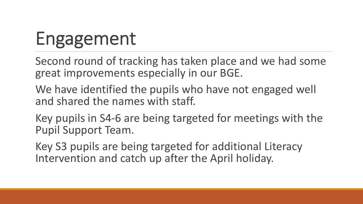# Engagement

Second round of tracking has taken place and we had some great improvements especially in our BGE.

We have identified the pupils who have not engaged well and shared the names with staff.

Key pupils in S4-6 are being targeted for meetings with the Pupil Support Team.

Key S3 pupils are being targeted for additional Literacy Intervention and catch up after the April holiday.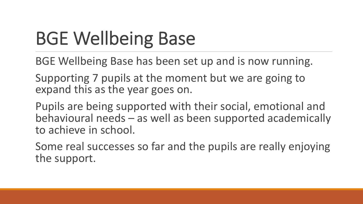# BGE Wellbeing Base

BGE Wellbeing Base has been set up and is now running.

Supporting 7 pupils at the moment but we are going to expand this as the year goes on.

Pupils are being supported with their social, emotional and behavioural needs – as well as been supported academically to achieve in school.

Some real successes so far and the pupils are really enjoying the support.